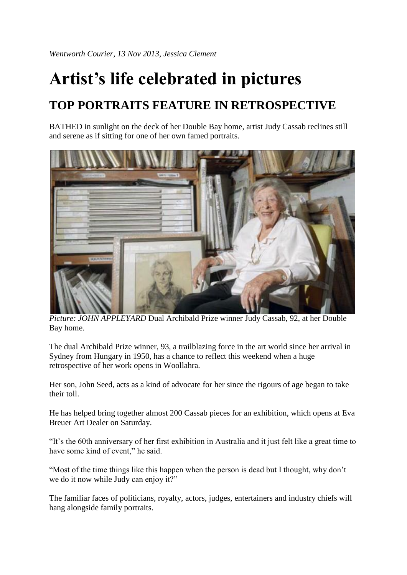## **Artist's life celebrated in pictures**

## **TOP PORTRAITS FEATURE IN RETROSPECTIVE**

BATHED in sunlight on the deck of her Double Bay home, artist Judy Cassab reclines still and serene as if sitting for one of her own famed portraits.



*Picture: JOHN APPLEYARD* Dual Archibald Prize winner Judy Cassab, 92, at her Double Bay home.

The dual Archibald Prize winner, 93, a trailblazing force in the art world since her arrival in Sydney from Hungary in 1950, has a chance to reflect this weekend when a huge retrospective of her work opens in Woollahra.

Her son, John Seed, acts as a kind of advocate for her since the rigours of age began to take their toll.

He has helped bring together almost 200 Cassab pieces for an exhibition, which opens at Eva Breuer Art Dealer on Saturday.

"It's the 60th anniversary of her first exhibition in Australia and it just felt like a great time to have some kind of event," he said.

"Most of the time things like this happen when the person is dead but I thought, why don't we do it now while Judy can enjoy it?"

The familiar faces of politicians, royalty, actors, judges, entertainers and industry chiefs will hang alongside family portraits.